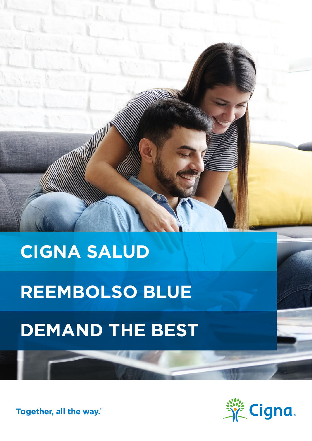# **CIGNA SALUD**

**All Marchines** 

# **REEMBOLSO BLUE**

# **DEMAND THE BEST**

Together, all the way."

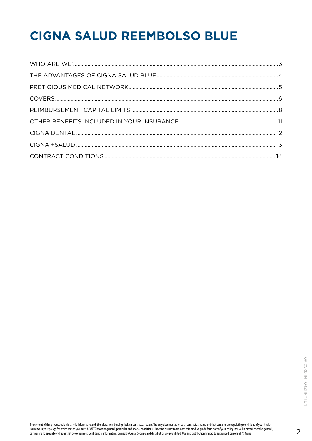## **CIGNA SALUD REEMBOLSO BLUE**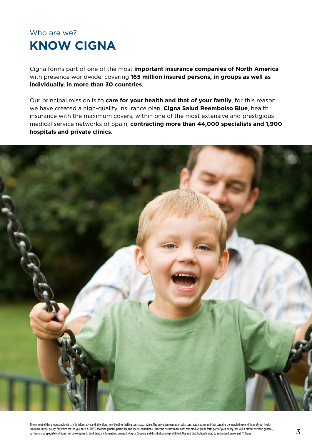### <span id="page-2-0"></span>Who are we? **KNOW CIGNA**

Cigna forms part of one of the most **important insurance companies of North America** with presence worldwide, covering **165 million insured persons, in groups as well as individually, in more than 30 countries**.

Our principal mission is to **care for your health and that of your family**, for this reason we have created a high-quality insurance plan, **Cigna Salud Reembolso Blue**, health insurance with the maximum covers, within one of the most extensive and prestigious medical service networks of Spain, **contracting more than 44,000 specialists and 1,900 hospitals and private clinics**.

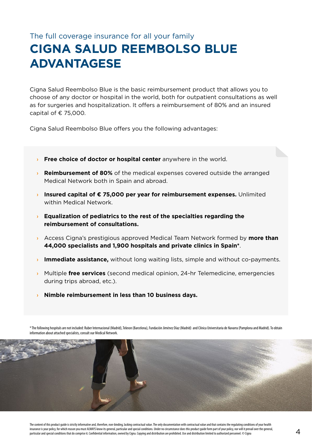### <span id="page-3-0"></span>The full coverage insurance for all your family **CIGNA SALUD REEMBOLSO BLUE ADVANTAGESE**

Cigna Salud Reembolso Blue is the basic reimbursement product that allows you to choose of any doctor or hospital in the world, both for outpatient consultations as well as for surgeries and hospitalization. It offers a reimbursement of 80% and an insured capital of  $\epsilon$  75,000.

Cigna Salud Reembolso Blue offers you the following advantages:

- **> Free choice of doctor or hospital center** anywhere in the world.
- **› Reimbursement of 80%** of the medical expenses covered outside the arranged Medical Network both in Spain and abroad.
- **› Insured capital of € 75,000 per year for reimbursement expenses.** Unlimited within Medical Network.
- **› Equalization of pediatrics to the rest of the specialties regarding the reimbursement of consultations.**
- **›** Access Cigna's prestigious approved Medical Team Network formed by **more than 44,000 specialists and 1,900 hospitals and private clinics in Spain\***.
- **Immediate assistance,** without long waiting lists, simple and without co-payments.
- **›** Multiple **free services** (second medical opinion, 24-hr Telemedicine, emergencies during trips abroad, etc.).
- **› Nimble reimbursement in less than 10 business days.**

\* The following hospitals are not included: Ruber Internacional (Madrid), Teknon (Barcelona), Fundación Jiménez Díaz (Madrid) and Clínica Universitaria de Navarra (Pamplona and Madrid). To obtain information about attached specialists, consult our Medical Network.

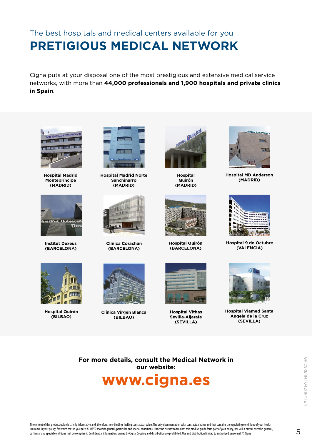### <span id="page-4-0"></span>The best hospitals and medical centers available for you **PRETIGIOUS MEDICAL NETWORK**

Cigna puts at your disposal one of the most prestigious and extensive medical service networks, with more than **44,000 professionals and 1,900 hospitals and private clinics in Spain**.



**Hospital Madrid Montepríncipe (MADRID)**



**Institut Dexeus (BARCELONA)**



**Hospital Madrid Norte Sanchinarro (MADRID)**



**Clínica Corachán (BARCELONA)**



**Hospital Quirón (MADRID)**



**Hospital Quirón (BARCELONA)**



**Hospital MD Anderson (MADRID)**



**Hospital 9 de Octubre (VALENCIA)**



**Hospital Quirón (BILBAO)**



**Clínica Virgen Blanca (BILBAO)**



**Hospital Vithas Sevilla-Aljarafe (SEVILLA)**



**Hospital Viamed Santa Ángela de la Cruz (SEVILLA)**

**For more details, consult the Medical Network in our website:**

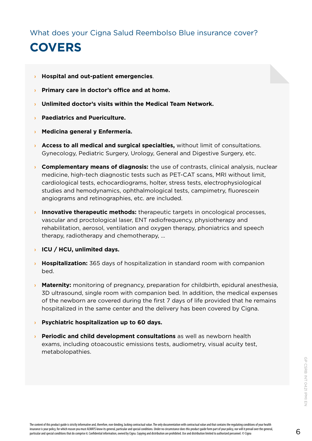<span id="page-5-0"></span>What does your Cigna Salud Reembolso Blue insurance cover?

## **COVERS**

- **› Hospital and out-patient emergencies**.
- **› Primary care in doctor's office and at home.**
- **› Unlimited doctor's visits within the Medical Team Network.**
- **› Paediatrics and Puericulture.**
- **› Medicina general y Enfermería.**
- **› Access to all medical and surgical specialties,** without limit of consultations. Gynecology, Pediatric Surgery, Urology, General and Digestive Surgery, etc.
- **› Complementary means of diagnosis:** the use of contrasts, clinical analysis, nuclear medicine, high-tech diagnostic tests such as PET-CAT scans, MRI without limit, cardiological tests, echocardiograms, holter, stress tests, electrophysiological studies and hemodynamics, ophthalmological tests, campimetry, fluorescein angiograms and retinographies, etc. are included.
- **Innovative therapeutic methods:** therapeutic targets in oncological processes, vascular and proctological laser, ENT radiofrequency, physiotherapy and rehabilitation, aerosol, ventilation and oxygen therapy, phoniatrics and speech therapy, radiotherapy and chemotherapy, ...
- **› ICU / HCU, unlimited days.**
- **› Hospitalization:** 365 days of hospitalization in standard room with companion bed.
- **› Maternity:** monitoring of pregnancy, preparation for childbirth, epidural anesthesia, 3D ultrasound, single room with companion bed. In addition, the medical expenses of the newborn are covered during the first 7 days of life provided that he remains hospitalized in the same center and the delivery has been covered by Cigna.
- **› Psychiatric hospitalization up to 60 days.**
- **› Periodic and child development consultations** as well as newborn health exams, including otoacoustic emissions tests, audiometry, visual acuity test, metabolopathies.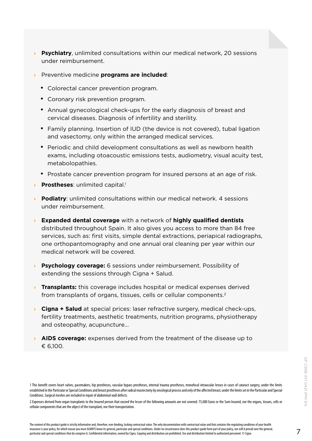- **› Psychiatry**, unlimited consultations within our medical network, 20 sessions under reimbursement.
- **›** Preventive medicine **programs are included**:
	- Colorectal cancer prevention program.
	- Coronary risk prevention program.
	- Annual gynecological check-ups for the early diagnosis of breast and cervical diseases. Diagnosis of infertility and sterility.
	- Family planning. Insertion of IUD (the device is not covered), tubal ligation and vasectomy, only within the arranged medical services.
	- Periodic and child development consultations as well as newborn health exams, including otoacoustic emissions tests, audiometry, visual acuity test, metabolopathies.
	- Prostate cancer prevention program for insured persons at an age of risk.
- **Prostheses:** unlimited capital.<sup>1</sup>
- **› Podiatry**: unlimited consultations within our medical network. 4 sessions under reimbursement.
- **› Expanded dental coverage** with a network of **highly qualified dentists** distributed throughout Spain. It also gives you access to more than 84 free services, such as: first visits, simple dental extractions, periapical radiographs, one orthopantomography and one annual oral cleaning per year within our medical network will be covered.
- **› Psychology coverage:** 6 sessions under reimbursement. Possibility of extending the sessions through Cigna + Salud.
- **› Transplants:** this coverage includes hospital or medical expenses derived from transplants of organs, tissues, cells or cellular components.<sup>2</sup>
- **› Cigna + Salud** at special prices: laser refractive surgery, medical check-ups, fertility treatments, aesthetic treatments, nutrition programs, physiotherapy and osteopathy, acupuncture...
- **› AIDS coverage:** expenses derived from the treatment of the disease up to € 6,100.

<sup>1</sup> This benefit covers heart valves, pacemakers, hip prostheses, vascular bypass prostheses, internal trauma prostheses, monofocal intraocular lenses in cases of cataract surgery, under the limits established in the Particular or Special Conditions and breast prostheses after radical mastectomy by oncological process and only of the affected breast, under the limits set in the Particular and Special Conditions. Surgical meshes are included in repair of abdominal wall defects.

<sup>2</sup> Expenses derived from organ transplants to the Insured person that exceed the lesser of the following amounts are not covered: 75,000 Euros or the Sum Insured, nor the organs, tissues, cells or cellular components that are the object of the transplant, nor their transportation.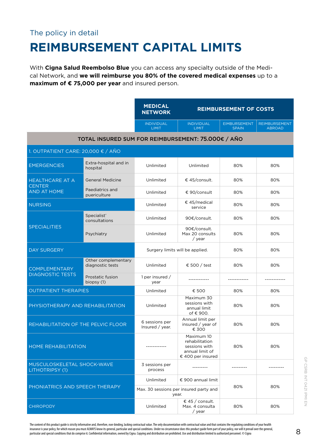#### <span id="page-7-0"></span>The policy in detail

## **REIMBURSEMENT CAPITAL LIMITS**

With **Cigna Salud Reembolso Blue** you can access any specialty outside of the Medical Network, and **we will reimburse you 80% of the covered medical expenses** up to a **maximum of € 75,000 per year** and insured person.

|                                                    |                                         | <b>MEDICAL</b><br><b>NETWORK</b>                | <b>REIMBURSEMENT OF COSTS</b>                                                         |                                     |                                       |  |
|----------------------------------------------------|-----------------------------------------|-------------------------------------------------|---------------------------------------------------------------------------------------|-------------------------------------|---------------------------------------|--|
|                                                    |                                         | <b>INDIVIDUAL</b><br><b>LIMIT</b>               | <b>INDIVIDUAL</b><br><b>LIMIT</b>                                                     | <b>EIMBURSEMENT</b><br><b>SPAIN</b> | <b>REIMBURSEMENT</b><br><b>ABROAD</b> |  |
| TOTAL INSURED SUM FOR REIMBURSEMENT: 75.000€ / AÑO |                                         |                                                 |                                                                                       |                                     |                                       |  |
| 1. OUTPATIENT CARE: 20,000 € / AÑO                 |                                         |                                                 |                                                                                       |                                     |                                       |  |
| <b>EMERGENCIES</b>                                 | Extra-hospital and in<br>hospital       | Unlimited                                       | Unlimited                                                                             | 80%                                 | 80%                                   |  |
| <b>HEALTHCARE AT A</b>                             | <b>General Medicine</b>                 | Unlimited                                       | € 45/consult.                                                                         | 80%                                 | 80%                                   |  |
| <b>CENTER</b><br><b>AND AT HOME</b>                | Paediatrics and<br>puericulture         | Unlimited                                       | € 90/consult                                                                          | 80%                                 | 80%                                   |  |
| <b>NURSING</b>                                     |                                         | Unlimited                                       | € 45/medical<br>service                                                               | 80%                                 | 80%                                   |  |
| <b>SPECIALITIES</b>                                | Specialist'<br>consultations            | Unlimited                                       | 90€/consult.                                                                          | 80%                                 | 80%                                   |  |
|                                                    | Psychiatry                              | Unlimited                                       | 90€/consult.<br>Max 20 consults<br>/ year                                             | 80%                                 | 80%                                   |  |
| <b>DAY SURGERY</b>                                 |                                         | Surgery limits will be applied.                 |                                                                                       | 80%                                 | 80%                                   |  |
| <b>COMPLEMENTARY</b><br><b>DIAGNOSTIC TESTS</b>    | Other complementary<br>diagnostic tests | Unlimited                                       | € 500 / test                                                                          | 80%                                 | 80%                                   |  |
|                                                    | Prostatic fusion<br>biopsy (1)          | 1 per insured /<br>year                         |                                                                                       |                                     |                                       |  |
| <b>OUTPATIENT THERAPIES</b>                        |                                         | Unlimited                                       | € 500                                                                                 | 80%                                 | 80%                                   |  |
| PHYSIOTHERAPY AND REHABILITATION                   |                                         | Unlimited                                       | Maximum 30<br>sessions with<br>annual limit<br>of € 900.                              | 80%                                 | 80%                                   |  |
| REHABILITATION OF THE PELVIC FLOOR                 |                                         | 6 sessions per<br>Insured / year.               | Annual limit per<br>insured / year of<br>€ 300                                        | 80%                                 | 80%                                   |  |
| HOME REHABILITATION                                |                                         | -----------                                     | Maximum 10<br>rehabilitation<br>sessions with<br>annual limit of<br>€ 400 per insured | 80%                                 | 80%                                   |  |
| MUSCULOSKELETAL SHOCK-WAVE<br>LITHOTRIPSY (1)      |                                         | 3 sessions per<br>process                       |                                                                                       |                                     |                                       |  |
| PHONIATRICS AND SPEECH THERAPY                     |                                         | Unlimited                                       | € 900 annual limit                                                                    |                                     |                                       |  |
|                                                    |                                         | Max. 30 sessions per insured party and<br>year. |                                                                                       | 80%                                 | 80%                                   |  |
| <b>CHIROPODY</b>                                   |                                         | Unlimited                                       | € 45 / consult.<br>Max. 4 consulta<br>/ year                                          | 80%                                 | 80%                                   |  |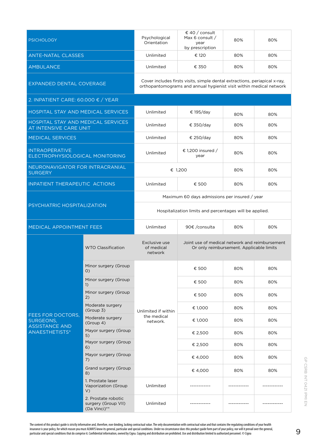| <b>PSICHOLOGY</b>                                            |                                                            | Psychological<br>Orientation                                                                                                                      | € 40 / consult<br>Max 6 consult /<br>year<br>by prescription | 80% | 80% |  |
|--------------------------------------------------------------|------------------------------------------------------------|---------------------------------------------------------------------------------------------------------------------------------------------------|--------------------------------------------------------------|-----|-----|--|
| <b>ANTE-NATAL CLASSES</b>                                    |                                                            | Unlimited                                                                                                                                         | € 120                                                        | 80% | 80% |  |
| <b>AMBULANCE</b>                                             |                                                            | Unlimited                                                                                                                                         | € 350                                                        | 80% | 80% |  |
| EXPANDED DENTAL COVERAGE                                     |                                                            | Cover includes firsts visits, simple dental extractions, periapical x-ray,<br>orthopantomograms and annual hygienist visit within medical network |                                                              |     |     |  |
| 2. INPATIENT CARE: 60.000 € / YEAR                           |                                                            |                                                                                                                                                   |                                                              |     |     |  |
| HOSPITAL STAY AND MEDICAL SERVICES                           |                                                            | Unlimited                                                                                                                                         | € 195/day                                                    | 80% | 80% |  |
| HOSPITAL STAY AND MEDICAL SERVICES<br>AT INTENSIVE CARE UNIT |                                                            | Unlimited                                                                                                                                         | € 350/day                                                    | 80% | 80% |  |
| <b>MEDICAL SERVICES</b>                                      |                                                            | Unlimited                                                                                                                                         | € 250/day                                                    | 80% | 80% |  |
| <b>INTRAOPERATIVE</b><br>ELECTROPHYSIOLOGICAL MONITORING     |                                                            | Unlimited                                                                                                                                         | € 1,200 insured /<br>year                                    | 80% | 80% |  |
| NEURONAVIGATOR FOR INTRACRANIAL<br><b>SURGERY</b>            |                                                            | € 1,200                                                                                                                                           |                                                              | 80% | 80% |  |
| <b>INPATIENT THERAPEUTIC ACTIONS</b>                         |                                                            | Unlimited                                                                                                                                         | € 500                                                        | 80% | 80% |  |
| PSYCHIATRIC HOSPITALIZATION                                  |                                                            | Maximum 60 days admissions per insured / year                                                                                                     |                                                              |     |     |  |
|                                                              |                                                            | Hospitalization limits and percentages will be applied.                                                                                           |                                                              |     |     |  |
| MEDICAL APPOINTMENT FEES                                     |                                                            | Unlimited                                                                                                                                         | 90€ /consulta                                                | 80% | 80% |  |
|                                                              | <b>WTO Classification</b>                                  | Exclusive use<br>Joint use of medical network and reimbursement<br>of medical<br>Or only reimbursement. Applicable limits<br>network              |                                                              |     |     |  |
|                                                              | Minor surgery (Group<br>(0)                                |                                                                                                                                                   | € 500                                                        | 80% | 80% |  |
|                                                              | Minor surgery (Group<br>1)                                 |                                                                                                                                                   | € 500                                                        | 80% | 80% |  |
|                                                              | Minor surgery (Group<br>2)                                 |                                                                                                                                                   | € 500                                                        | 80% | 80% |  |
|                                                              | Moderate surgery<br>(Group 3)                              | Unlimited if within                                                                                                                               | € 1,000                                                      | 80% | 80% |  |
| FEES FOR DOCTORS,<br>SURGEONS,<br><b>ASSISTANCE AND</b>      | Moderate surgery<br>(Group 4)                              | the medical<br>network.                                                                                                                           | € 1,000                                                      | 80% | 80% |  |
| ANAESTHETISTS*                                               | Mayor surgery (Group<br>5)                                 |                                                                                                                                                   | € 2,500                                                      | 80% | 80% |  |
|                                                              | Mayor surgery (Group<br>6)                                 |                                                                                                                                                   | € 2,500                                                      | 80% | 80% |  |
|                                                              | Mayor surgery (Group<br>7)                                 |                                                                                                                                                   | € 4,000                                                      | 80% | 80% |  |
|                                                              | Grand surgery (Group<br>8)                                 |                                                                                                                                                   | € 4,000                                                      | 80% | 80% |  |
|                                                              | 1. Prostate laser<br>Vaporization (Group<br>V)             | Unlimited                                                                                                                                         |                                                              |     |     |  |
|                                                              | 2. Prostate robotic<br>surgery (Group VII)<br>(Da Vinci)** | Unlimited                                                                                                                                         |                                                              |     |     |  |

The content of this product guide is strictly informative and, therefore, non-binding, lacking contractual value. The only documentation with contractual value and that contains the regulating conditions of your health insurance is your policy, for which reason you must ALWAYS know its general, particular and special conditions. Under no circumstance does this product guide form part of your policy, nor will it prevail over the general,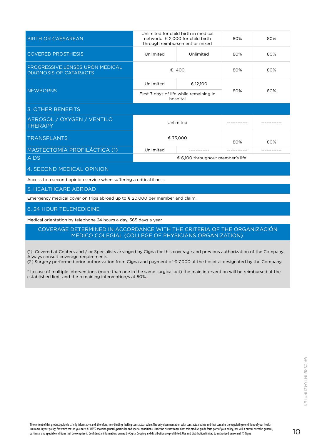| <b>BIRTH OR CAESAREAN</b>                                        | Unlimited for child birth in medical<br>network. € 2,000 for child birth<br>through reimbursement or mixed |           | 80% | 80% |
|------------------------------------------------------------------|------------------------------------------------------------------------------------------------------------|-----------|-----|-----|
| <b>COVERED PROSTHESIS</b>                                        | Unlimited                                                                                                  | Unlimited | 80% | 80% |
| PROGRESSIVE LENSES UPON MEDICAL<br><b>DIAGNOSIS OF CATARACTS</b> | € 400                                                                                                      |           | 80% | 80% |
|                                                                  | Unlimited                                                                                                  | € 12,100  |     |     |
| <b>NEWBORNS</b>                                                  | First 7 days of life while remaining in<br>hospital                                                        |           | 80% | 80% |
| <b>3. OTHER BENEFITS</b>                                         |                                                                                                            |           |     |     |
| AEROSOL / OXYGEN / VENTILO<br><b>THERAPY</b>                     | Unlimited                                                                                                  |           |     |     |
| <b>TRANSPLANTS</b>                                               | € 75,000                                                                                                   |           | 80% | 80% |
| MASTECTOMÍA PROFILÁCTICA (1)                                     | Unlimited                                                                                                  |           |     |     |
| <b>AIDS</b>                                                      | € 6,100 throughout member's life                                                                           |           |     |     |
| 4. SECOND MEDICAL OPINION                                        |                                                                                                            |           |     |     |

Access to a second opinion service when suffering a critical illness.

5. HEALTHCARE ABROAD

Emergency medical cover on trips abroad up to € 20,000 per member and claim.

#### 6. 24 HOUR TELEMEDICINE

Medical orientation by telephone 24 hours a day, 365 days a year

COVERAGE DETERMINED IN ACCORDANCE WITH THE CRITERIA OF THE ORGANIZACIÓN MÉDICO COLEGIAL (COLLEGE OF PHYSICIANS ORGANIZATION).

(1) Covered at Centers and / or Specialists arranged by Cigna for this coverage and previous authorization of the Company. Always consult coverage requirements.

(2) Surgery performed prior authorization from Cigna and payment of € 7,000 at the hospital designated by the Company.

\* In case of multiple interventions (more than one in the same surgical act) the main intervention will be reimbursed at the established limit and the remaining intervention/s at 50%..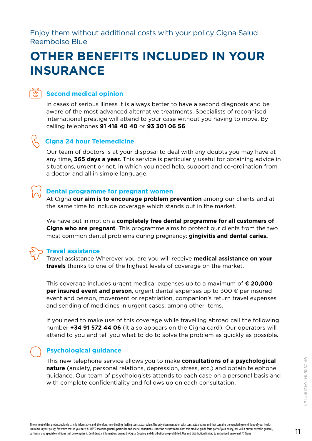<span id="page-10-0"></span>Enjoy them without additional costs with your policy Cigna Salud Reembolso Blue

### **OTHER BENEFITS INCLUDED IN YOUR INSURANCE**



#### **Second medical opinion**

In cases of serious illness it is always better to have a second diagnosis and be aware of the most advanced alternative treatments. Specialists of recognised international prestige will attend to your case without you having to move. By calling telephones **91 418 40 40** or **93 301 06 56**.



#### **Cigna 24 hour Telemedicine**

Our team of doctors is at your disposal to deal with any doubts you may have at any time, **365 days a year.** This service is particularly useful for obtaining advice in situations, urgent or not, in which you need help, support and co-ordination from a doctor and all in simple language.

#### **Dental programme for pregnant women**

At Cigna **our aim is to encourage problem prevention** among our clients and at the same time to include coverage which stands out in the market.

We have put in motion a **completely free dental programme for all customers of Cigna who are pregnant**. This programme aims to protect our clients from the two most common dental problems during pregnancy: **gingivitis and dental caries.**



#### **Travel assistance**

Travel assistance Wherever you are you will receive **medical assistance on your travels** thanks to one of the highest levels of coverage on the market.

This coverage includes urgent medical expenses up to a maximum of **€ 20,000 per insured event and person**, urgent dental expenses up to 300 € per insured event and person, movement or repatriation, companion's return travel expenses and sending of medicines in urgent cases, among other items.

If you need to make use of this coverage while travelling abroad call the following number **+34 91 572 44 06** (it also appears on the Cigna card). Our operators will attend to you and tell you what to do to solve the problem as quickly as possible.

#### **Psychological guidance**

This new telephone service allows you to make **consultations of a psychological nature** (anxiety, personal relations, depression, stress, etc.) and obtain telephone guidance. Our team of psychologists attends to each case on a personal basis and with complete confidentiality and follows up on each consultation.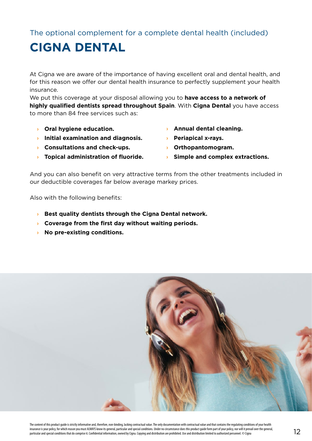<span id="page-11-0"></span>The optional complement for a complete dental health (included)

## **CIGNA DENTAL**

At Cigna we are aware of the importance of having excellent oral and dental health, and for this reason we offer our dental health insurance to perfectly supplement your health insurance.

We put this coverage at your disposal allowing you to **have access to a network of highly qualified dentists spread throughout Spain**. With **Cigna Dental** you have access to more than 84 free services such as:

- **› Oral hygiene education.**
- **› Initial examination and diagnosis.**
- **› Consultations and check-ups.**
- **› Topical administration of fluoride.**
- **› Annual dental cleaning.**
- **› Periapical x-rays.**
- **› Orthopantomogram.**
- **› Simple and complex extractions.**

And you can also benefit on very attractive terms from the other treatments included in our deductible coverages far below average markey prices.

Also with the following benefits:

- **› Best quality dentists through the Cigna Dental network.**
- **› Coverage from the first day without waiting periods.**
- **› No pre-existing conditions.**

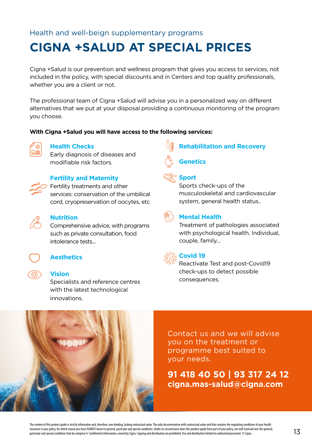#### <span id="page-12-0"></span>Health and well-beign supplementary programs

### **CIGNA +SALUD AT SPECIAL PRICES**

Cigna +Salud is our prevention and wellness program that gives you access to services, not included in the policy, with special discounts and in Centers and top quality professionals, whether you are a client or not.

The professional team of Cigna +Salud will advise you in a personalized way on different alternatives that we put at your disposal providing a continuous monitoring of the program you choose.

#### **With Cigna +Salud you will have access to the following services:**



#### **Health Checks**

Early diagnosis of diseases and modifiable risk factors.



#### **Fertility and Maternity**

**Fertility treatments and other** services: conservation of the umbilical cord, cryopreservation of oocytes, etc



#### **Nutrition**

Comprehensive advice, with programs such as private consultation, food intolerance tests...



#### **Aesthetics**

#### **Vision**

Specialists and reference centres with the latest technological innovations.





#### **Sport**

Sports check-ups of the musculoskeletal and cardiovascular system, general health status..

**Rehabilitation and Recovery**



#### **Mental Health**

Treatment of pathologies associated with psychological health. Individual, couple, family...



#### **Covid 19**

Reactívate Test and post-Covid19 check-ups to detect possible consequences.



Contact us and we will advise you on the treatment or programme best suited to your needs.

#### **91 418 40 50 | 93 317 24 12 cigna.mas-salud@cigna.com**